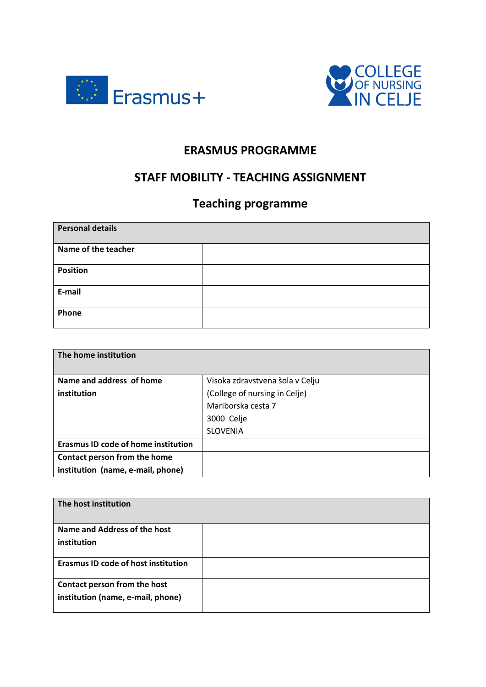



## **ERASMUS PROGRAMME**

## **STAFF MOBILITY - TEACHING ASSIGNMENT**

## **Teaching programme**

| <b>Personal details</b> |  |
|-------------------------|--|
| Name of the teacher     |  |
| <b>Position</b>         |  |
| E-mail                  |  |
| Phone                   |  |

| The home institution                       |                                 |
|--------------------------------------------|---------------------------------|
| Name and address of home                   |                                 |
|                                            | Visoka zdravstvena šola v Celju |
| institution                                | (College of nursing in Celje)   |
|                                            | Mariborska cesta 7              |
|                                            | 3000 Celje                      |
|                                            | <b>SLOVENIA</b>                 |
| <b>Erasmus ID code of home institution</b> |                                 |
| Contact person from the home               |                                 |
| institution (name, e-mail, phone)          |                                 |

| The host institution                                              |  |
|-------------------------------------------------------------------|--|
| Name and Address of the host<br>institution                       |  |
| <b>Erasmus ID code of host institution</b>                        |  |
| Contact person from the host<br>institution (name, e-mail, phone) |  |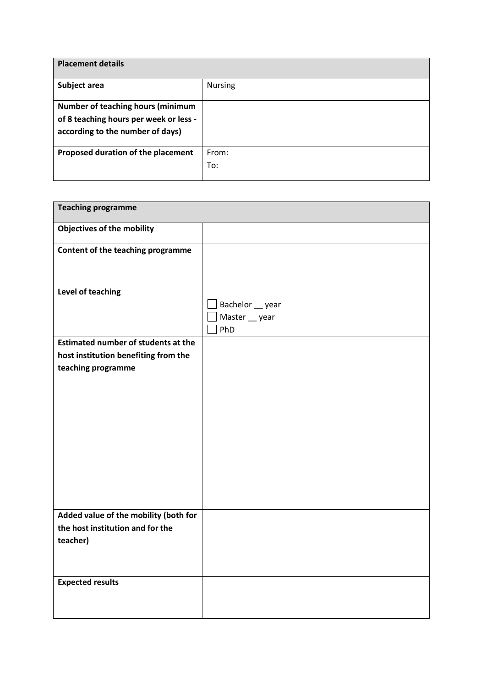| <b>Placement details</b>                 |                |
|------------------------------------------|----------------|
| Subject area                             | <b>Nursing</b> |
| <b>Number of teaching hours (minimum</b> |                |
| of 8 teaching hours per week or less -   |                |
| according to the number of days)         |                |
| Proposed duration of the placement       | From:          |
|                                          | To:            |
|                                          |                |

| <b>Teaching programme</b>                  |                  |
|--------------------------------------------|------------------|
| <b>Objectives of the mobility</b>          |                  |
| Content of the teaching programme          |                  |
|                                            |                  |
| Level of teaching                          |                  |
|                                            | Bachelor __ year |
|                                            | Master __ year   |
|                                            | PhD              |
| <b>Estimated number of students at the</b> |                  |
| host institution benefiting from the       |                  |
| teaching programme                         |                  |
|                                            |                  |
|                                            |                  |
|                                            |                  |
|                                            |                  |
|                                            |                  |
|                                            |                  |
|                                            |                  |
|                                            |                  |
|                                            |                  |
|                                            |                  |
|                                            |                  |
| Added value of the mobility (both for      |                  |
| the host institution and for the           |                  |
| teacher)                                   |                  |
|                                            |                  |
|                                            |                  |
| <b>Expected results</b>                    |                  |
|                                            |                  |
|                                            |                  |